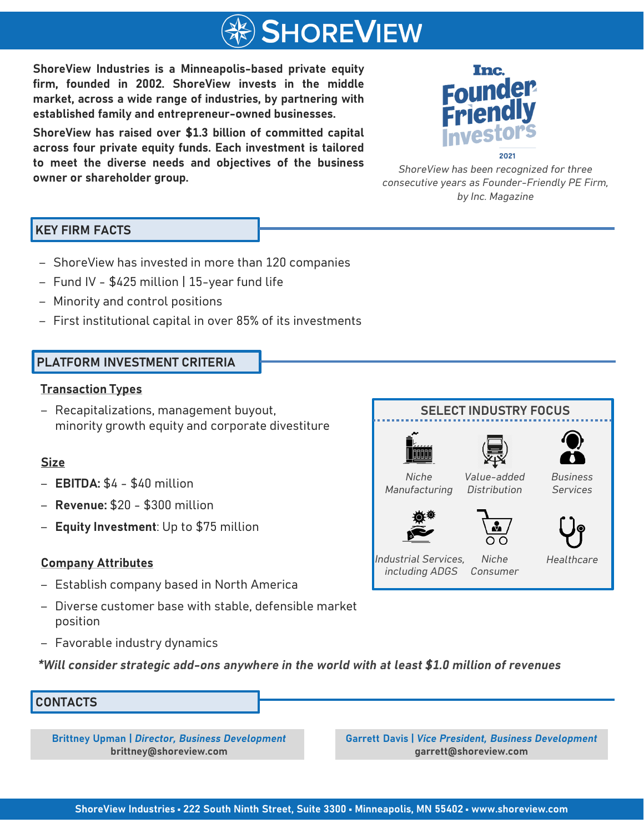

**ShoreView Industries is a Minneapolis-based private equity firm, founded in 2002. ShoreView invests in the middle market, across a wide range of industries, by partnering with established family and entrepreneur-owned businesses.**

**ShoreView has raised over \$1.3 billion of committed capital across four private equity funds. Each investment is tailored to meet the diverse needs and objectives of the business owner or shareholder group.** *ShoreView has been recognized for three*



*consecutive years as Founder-Friendly PE Firm, by Inc. Magazine*

**SELECT INDUSTRY FOCUS**

## **KEY FIRM FACTS**

- ‒ ShoreView has invested in more than 120 companies
- ‒ Fund IV \$425 million | 15-year fund life
- ‒ Minority and control positions
- ‒ First institutional capital in over 85% of its investments

## **PLATFORM INVESTMENT CRITERIA**

#### **Transaction Types**

‒ Recapitalizations, management buyout, minority growth equity and corporate divestiture

### **Size**

- ‒ **EBITDA:** \$4 \$40 million
- ‒ **Revenue:** \$20 \$300 million
- ‒ **Equity Investment**: Up to \$75 million

### **Company Attributes**

- ‒ Establish company based in North America
- ‒ Diverse customer base with stable, defensible market position
- Favorable industry dynamics

*\*Will consider strategic add-ons anywhere in the world with at least \$1.0 million of revenues*

### **CONTACTS**

**Brittney Upman |** *Director, Business Development*  **brittney@shoreview.com**

**Garrett Davis |** *Vice President, Business Development* **garrett@shoreview.com**